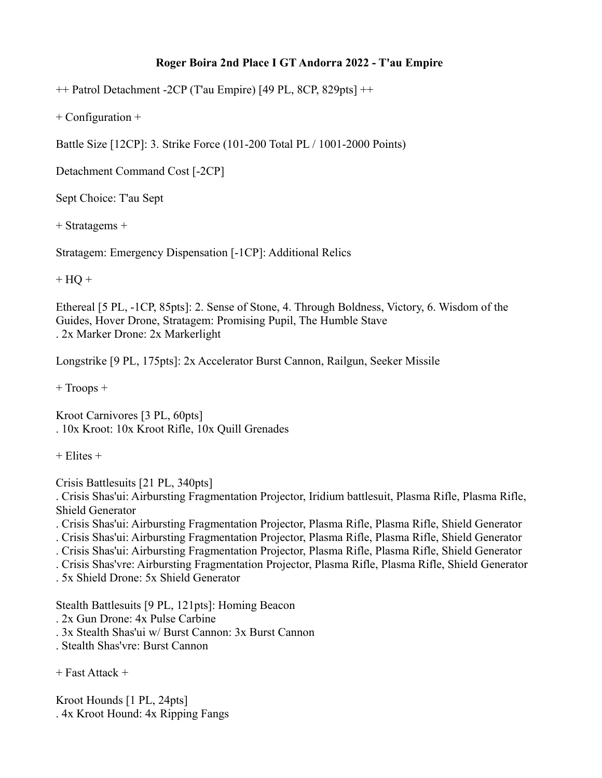## **Roger Boira 2nd Place I GT Andorra 2022 - T'au Empire**

++ Patrol Detachment -2CP (T'au Empire) [49 PL, 8CP, 829pts] ++

+ Configuration +

Battle Size [12CP]: 3. Strike Force (101-200 Total PL / 1001-2000 Points)

Detachment Command Cost [-2CP]

Sept Choice: T'au Sept

+ Stratagems +

Stratagem: Emergency Dispensation [-1CP]: Additional Relics

 $+ HO +$ 

Ethereal [5 PL, -1CP, 85pts]: 2. Sense of Stone, 4. Through Boldness, Victory, 6. Wisdom of the Guides, Hover Drone, Stratagem: Promising Pupil, The Humble Stave . 2x Marker Drone: 2x Markerlight

Longstrike [9 PL, 175pts]: 2x Accelerator Burst Cannon, Railgun, Seeker Missile

+ Troops +

Kroot Carnivores [3 PL, 60pts] . 10x Kroot: 10x Kroot Rifle, 10x Quill Grenades

 $+$  Elites  $+$ 

Crisis Battlesuits [21 PL, 340pts]

. Crisis Shas'ui: Airbursting Fragmentation Projector, Iridium battlesuit, Plasma Rifle, Plasma Rifle, Shield Generator

. Crisis Shas'ui: Airbursting Fragmentation Projector, Plasma Rifle, Plasma Rifle, Shield Generator

. Crisis Shas'ui: Airbursting Fragmentation Projector, Plasma Rifle, Plasma Rifle, Shield Generator

. Crisis Shas'ui: Airbursting Fragmentation Projector, Plasma Rifle, Plasma Rifle, Shield Generator

. Crisis Shas'vre: Airbursting Fragmentation Projector, Plasma Rifle, Plasma Rifle, Shield Generator

. 5x Shield Drone: 5x Shield Generator

Stealth Battlesuits [9 PL, 121pts]: Homing Beacon

. 2x Gun Drone: 4x Pulse Carbine

. 3x Stealth Shas'ui w/ Burst Cannon: 3x Burst Cannon

. Stealth Shas'vre: Burst Cannon

+ Fast Attack +

Kroot Hounds [1 PL, 24pts] . 4x Kroot Hound: 4x Ripping Fangs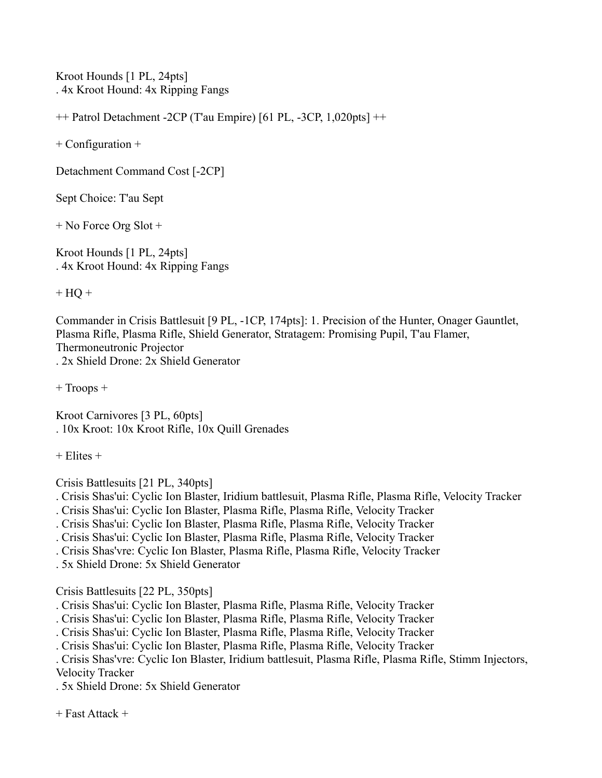Kroot Hounds [1 PL, 24pts] . 4x Kroot Hound: 4x Ripping Fangs

++ Patrol Detachment -2CP (T'au Empire) [61 PL, -3CP, 1,020pts] ++

+ Configuration +

Detachment Command Cost [-2CP]

Sept Choice: T'au Sept

+ No Force Org Slot +

Kroot Hounds [1 PL, 24pts] . 4x Kroot Hound: 4x Ripping Fangs

 $+ HO +$ 

Commander in Crisis Battlesuit [9 PL, -1CP, 174pts]: 1. Precision of the Hunter, Onager Gauntlet, Plasma Rifle, Plasma Rifle, Shield Generator, Stratagem: Promising Pupil, T'au Flamer, Thermoneutronic Projector . 2x Shield Drone: 2x Shield Generator

+ Troops +

Kroot Carnivores [3 PL, 60pts] . 10x Kroot: 10x Kroot Rifle, 10x Quill Grenades

 $+$  Elites  $+$ 

Crisis Battlesuits [21 PL, 340pts]

- . Crisis Shas'ui: Cyclic Ion Blaster, Iridium battlesuit, Plasma Rifle, Plasma Rifle, Velocity Tracker
- . Crisis Shas'ui: Cyclic Ion Blaster, Plasma Rifle, Plasma Rifle, Velocity Tracker
- . Crisis Shas'ui: Cyclic Ion Blaster, Plasma Rifle, Plasma Rifle, Velocity Tracker
- . Crisis Shas'ui: Cyclic Ion Blaster, Plasma Rifle, Plasma Rifle, Velocity Tracker
- . Crisis Shas'vre: Cyclic Ion Blaster, Plasma Rifle, Plasma Rifle, Velocity Tracker

. 5x Shield Drone: 5x Shield Generator

Crisis Battlesuits [22 PL, 350pts]

. Crisis Shas'ui: Cyclic Ion Blaster, Plasma Rifle, Plasma Rifle, Velocity Tracker

- . Crisis Shas'ui: Cyclic Ion Blaster, Plasma Rifle, Plasma Rifle, Velocity Tracker
- . Crisis Shas'ui: Cyclic Ion Blaster, Plasma Rifle, Plasma Rifle, Velocity Tracker
- . Crisis Shas'ui: Cyclic Ion Blaster, Plasma Rifle, Plasma Rifle, Velocity Tracker

. Crisis Shas'vre: Cyclic Ion Blaster, Iridium battlesuit, Plasma Rifle, Plasma Rifle, Stimm Injectors, Velocity Tracker

. 5x Shield Drone: 5x Shield Generator

+ Fast Attack +